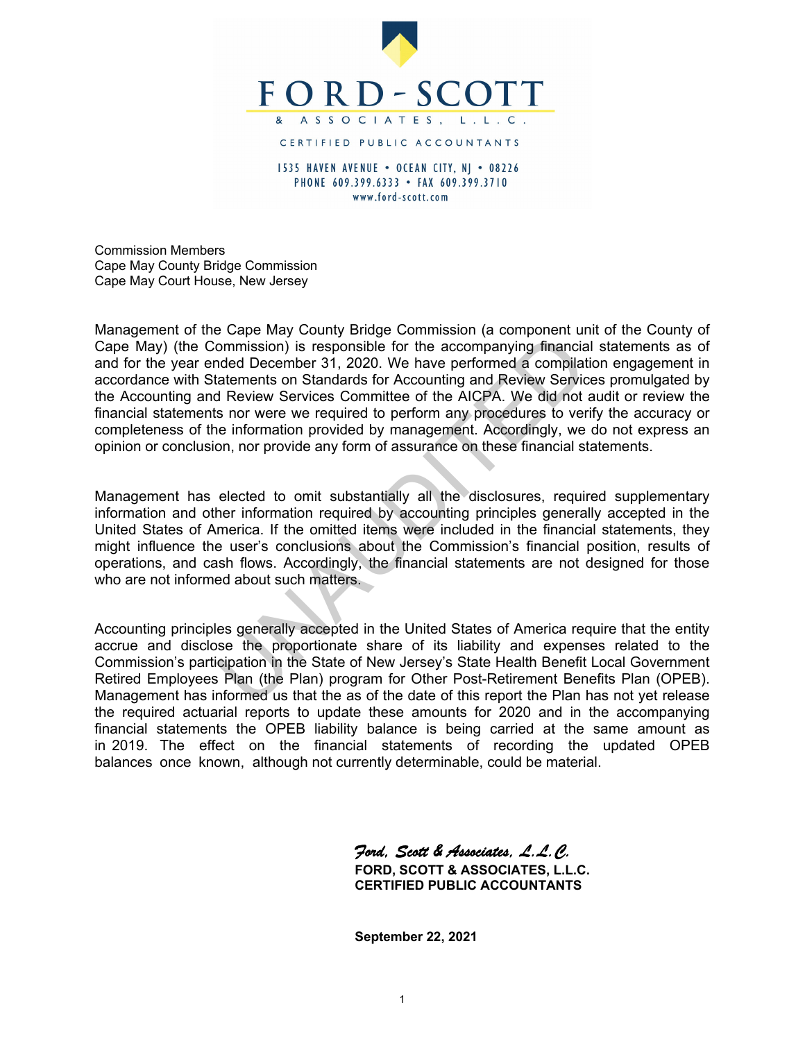

1535 HAVEN AVENUE . OCEAN CITY, N| . 08226 PHONE 609.399.6333 • FAX 609.399.3710 www.ford-scott.com

Commission Members Cape May County Bridge Commission Cape May Court House, New Jersey

Management of the Cape May County Bridge Commission (a component unit of the County of Cape May) (the Commission) is responsible for the accompanying financial statements as of and for the year ended December 31, 2020. We have performed a compilation engagement in accordance with Statements on Standards for Accounting and Review Services promulgated by the Accounting and Review Services Committee of the AICPA. We did not audit or review the financial statements nor were we required to perform any procedures to verify the accuracy or completeness of the information provided by management. Accordingly, we do not express an opinion or conclusion, nor provide any form of assurance on these financial statements. For the years of the Batter of the Companying financial<br>commission) is responsible for the accompanying financial<br>ded December 31, 2020. We have performed a compliate<br>ded December 31, 2020. We have performed a compliate<br>de

Management has elected to omit substantially all the disclosures, required supplementary information and other information required by accounting principles generally accepted in the United States of America. If the omitted items were included in the financial statements, they might influence the user's conclusions about the Commission's financial position, results of operations, and cash flows. Accordingly, the financial statements are not designed for those who are not informed about such matters.

Accounting principles generally accepted in the United States of America require that the entity accrue and disclose the proportionate share of its liability and expenses related to the Commission's participation in the State of New Jersey's State Health Benefit Local Government Retired Employees Plan (the Plan) program for Other Post-Retirement Benefits Plan (OPEB). Management has informed us that the as of the date of this report the Plan has not yet release the required actuarial reports to update these amounts for 2020 and in the accompanying financial statements the OPEB liability balance is being carried at the same amount as in 2019. The effect on the financial statements of recording the updated OPEB balances once known, although not currently determinable, could be material.

> *Ford, Scott & Associates, L.L.C.* **FORD, SCOTT & ASSOCIATES, L.L.C. CERTIFIED PUBLIC ACCOUNTANTS**

**September 22, 2021**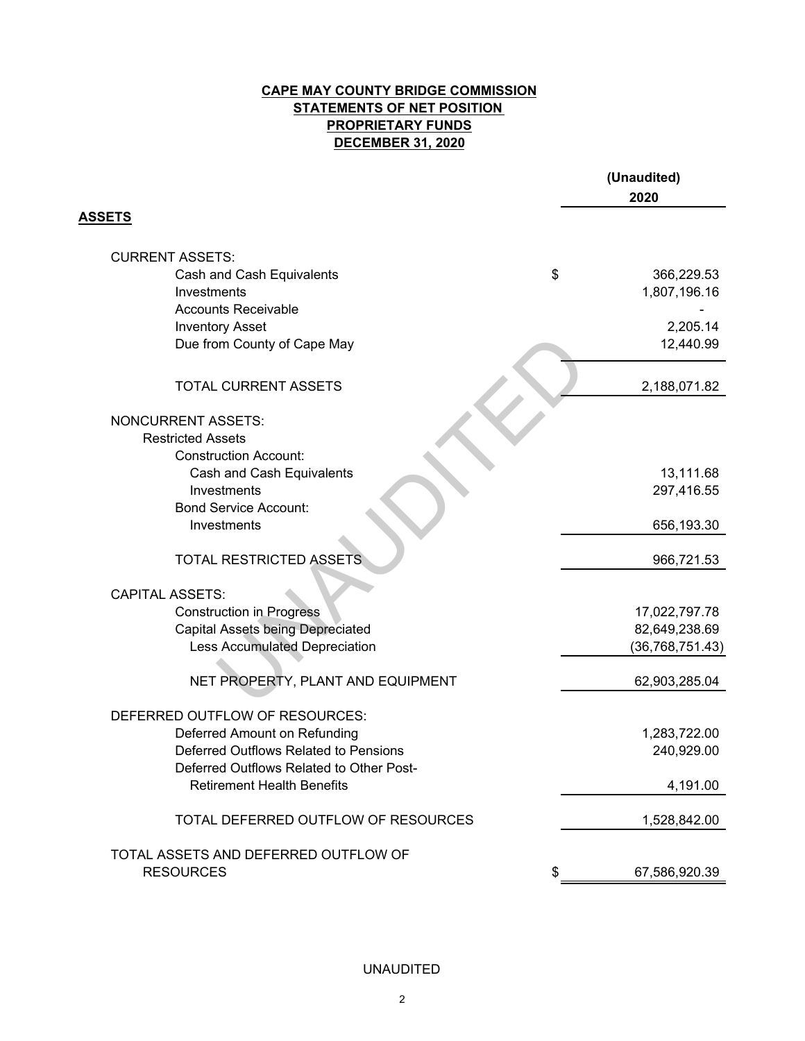# **CAPE MAY COUNTY BRIDGE COMMISSION STATEMENTS OF NET POSITION DECEMBER 31, 2020 PROPRIETARY FUNDS**

|                                          | (Unaudited)<br>2020 |
|------------------------------------------|---------------------|
| <b>ASSETS</b>                            |                     |
| <b>CURRENT ASSETS:</b>                   |                     |
| Cash and Cash Equivalents                | \$<br>366,229.53    |
| Investments                              | 1,807,196.16        |
| <b>Accounts Receivable</b>               |                     |
| <b>Inventory Asset</b>                   | 2,205.14            |
| Due from County of Cape May              | 12,440.99           |
| <b>TOTAL CURRENT ASSETS</b>              | 2,188,071.82        |
| <b>NONCURRENT ASSETS:</b>                |                     |
| <b>Restricted Assets</b>                 |                     |
| <b>Construction Account:</b>             |                     |
| Cash and Cash Equivalents                | 13,111.68           |
| Investments                              | 297,416.55          |
| <b>Bond Service Account:</b>             |                     |
| Investments                              | 656,193.30          |
| <b>TOTAL RESTRICTED ASSETS</b>           | 966,721.53          |
| <b>CAPITAL ASSETS:</b>                   |                     |
| <b>Construction in Progress</b>          | 17,022,797.78       |
| <b>Capital Assets being Depreciated</b>  | 82,649,238.69       |
| <b>Less Accumulated Depreciation</b>     | (36, 768, 751.43)   |
| NET PROPERTY, PLANT AND EQUIPMENT        | 62,903,285.04       |
| DEFERRED OUTFLOW OF RESOURCES:           |                     |
| Deferred Amount on Refunding             | 1,283,722.00        |
| Deferred Outflows Related to Pensions    | 240,929.00          |
| Deferred Outflows Related to Other Post- |                     |
| <b>Retirement Health Benefits</b>        | 4,191.00            |
| TOTAL DEFERRED OUTFLOW OF RESOURCES      | 1,528,842.00        |
| TOTAL ASSETS AND DEFERRED OUTFLOW OF     |                     |
| <b>RESOURCES</b>                         | 67,586,920.39       |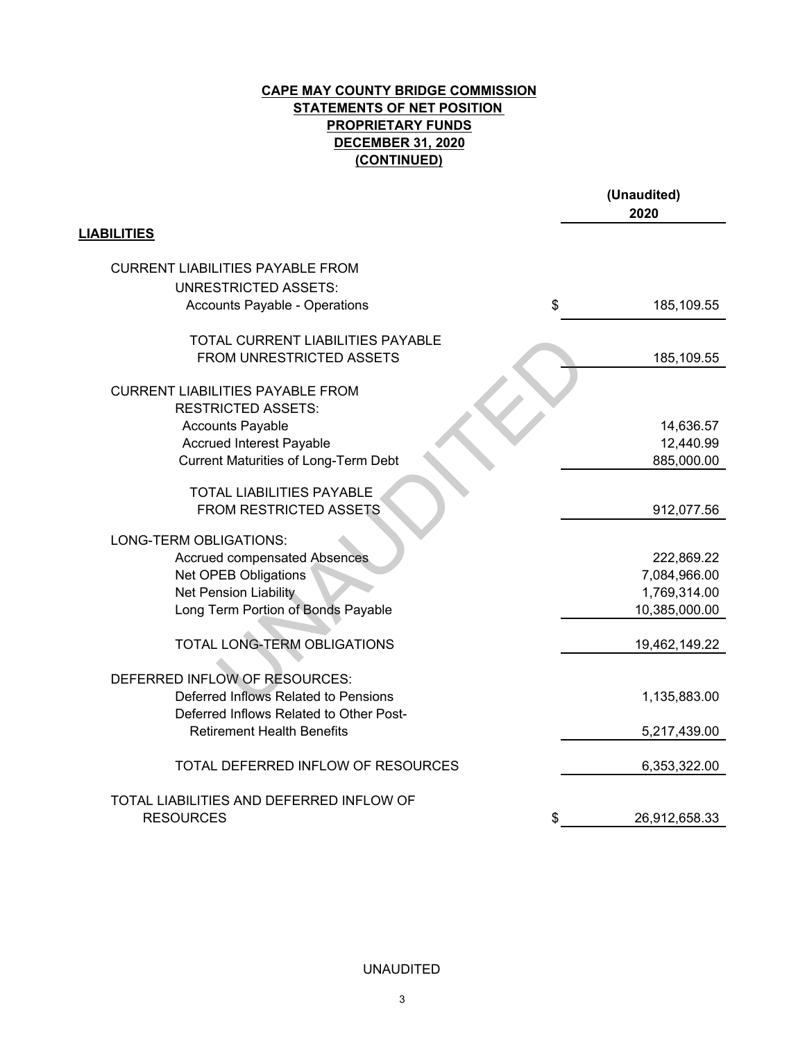## **CAPE MAY COUNTY BRIDGE COMMISSION STATEMENTS OF NET POSITION (CONTINUED) DECEMBER 31, 2020 PROPRIETARY FUNDS**

|                                             | (Unaudited)<br>2020 |
|---------------------------------------------|---------------------|
| <b>LIABILITIES</b>                          |                     |
| <b>CURRENT LIABILITIES PAYABLE FROM</b>     |                     |
| <b>UNRESTRICTED ASSETS:</b>                 |                     |
| <b>Accounts Payable - Operations</b>        | \$<br>185,109.55    |
| TOTAL CURRENT LIABILITIES PAYABLE           |                     |
| FROM UNRESTRICTED ASSETS                    | 185,109.55          |
| <b>CURRENT LIABILITIES PAYABLE FROM</b>     |                     |
| <b>RESTRICTED ASSETS:</b>                   |                     |
| <b>Accounts Payable</b>                     | 14,636.57           |
| <b>Accrued Interest Payable</b>             | 12,440.99           |
| <b>Current Maturities of Long-Term Debt</b> | 885,000.00          |
| <b>TOTAL LIABILITIES PAYABLE</b>            |                     |
| FROM RESTRICTED ASSETS                      | 912,077.56          |
|                                             |                     |
| LONG-TERM OBLIGATIONS:                      |                     |
| <b>Accrued compensated Absences</b>         | 222,869.22          |
| Net OPEB Obligations                        | 7,084,966.00        |
| Net Pension Liability                       | 1,769,314.00        |
| Long Term Portion of Bonds Payable          | 10,385,000.00       |
| TOTAL LONG-TERM OBLIGATIONS                 | 19,462,149.22       |
|                                             |                     |
| DEFERRED INFLOW OF RESOURCES:               |                     |
| Deferred Inflows Related to Pensions        | 1,135,883.00        |
| Deferred Inflows Related to Other Post-     |                     |
| <b>Retirement Health Benefits</b>           | 5,217,439.00        |
| TOTAL DEFERRED INFLOW OF RESOURCES          | 6,353,322.00        |
| TOTAL LIABILITIES AND DEFERRED INFLOW OF    |                     |
| <b>RESOURCES</b>                            | 26,912,658.33       |
|                                             |                     |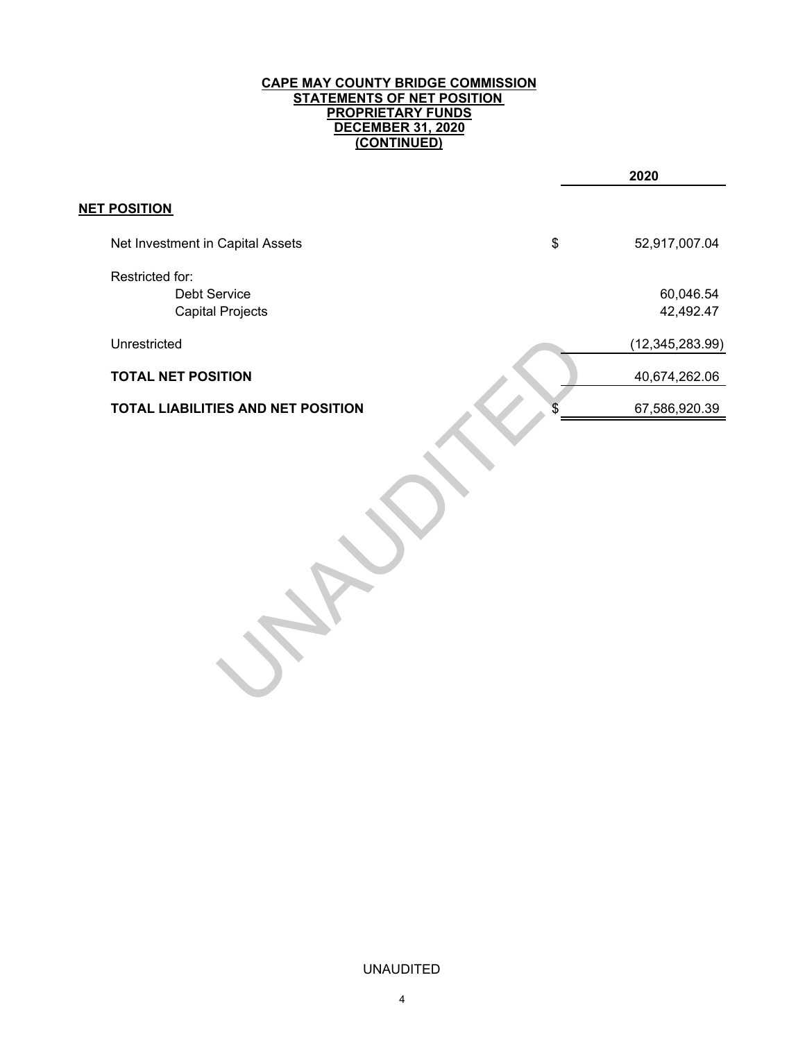#### **CAPE MAY COUNTY BRIDGE COMMISSION STATEMENTS OF NET POSITION PROPRIETARY FUNDS DECEMBER 31, 2020 (CONTINUED)**

|                                                            | 2020                   |
|------------------------------------------------------------|------------------------|
| <b>NET POSITION</b>                                        |                        |
| Net Investment in Capital Assets                           | \$<br>52,917,007.04    |
| Restricted for:<br>Debt Service<br><b>Capital Projects</b> | 60,046.54<br>42,492.47 |
| Unrestricted                                               | (12, 345, 283.99)      |
| <b>TOTAL NET POSITION</b>                                  | 40,674,262.06          |
| TOTAL LIABILITIES AND NET POSITION                         | 67,586,920.39          |
|                                                            |                        |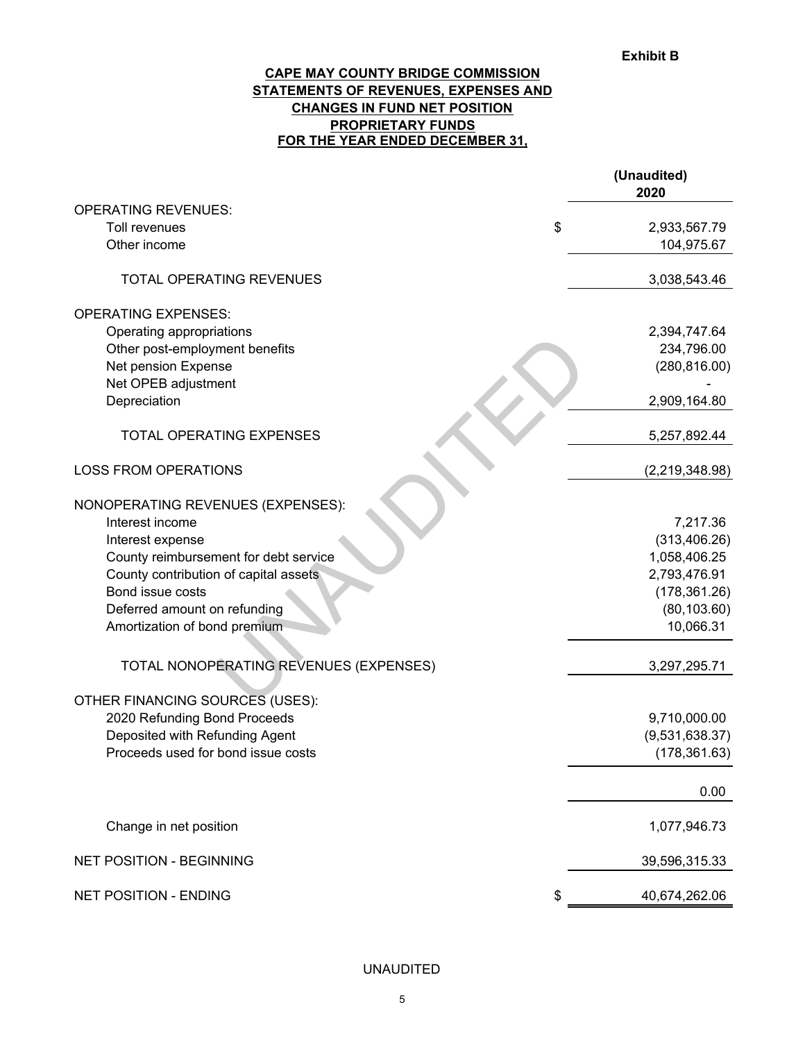### **FOR THE YEAR ENDED DECEMBER 31, CAPE MAY COUNTY BRIDGE COMMISSION STATEMENTS OF REVENUES, EXPENSES AND CHANGES IN FUND NET POSITION PROPRIETARY FUNDS**

|                                        | (Unaudited)<br>2020 |
|----------------------------------------|---------------------|
| <b>OPERATING REVENUES:</b>             |                     |
| Toll revenues                          | \$<br>2,933,567.79  |
| Other income                           | 104,975.67          |
| TOTAL OPERATING REVENUES               | 3,038,543.46        |
| <b>OPERATING EXPENSES:</b>             |                     |
| Operating appropriations               | 2,394,747.64        |
| Other post-employment benefits         | 234,796.00          |
| Net pension Expense                    | (280, 816.00)       |
| Net OPEB adjustment                    |                     |
| Depreciation                           | 2,909,164.80        |
| <b>TOTAL OPERATING EXPENSES</b>        | 5,257,892.44        |
| <b>LOSS FROM OPERATIONS</b>            | (2,219,348.98)      |
| NONOPERATING REVENUES (EXPENSES):      |                     |
| Interest income                        | 7,217.36            |
| Interest expense                       | (313, 406.26)       |
| County reimbursement for debt service  | 1,058,406.25        |
| County contribution of capital assets  | 2,793,476.91        |
| Bond issue costs                       | (178, 361.26)       |
| Deferred amount on refunding           | (80, 103.60)        |
| Amortization of bond premium           | 10,066.31           |
| TOTAL NONOPERATING REVENUES (EXPENSES) | 3,297,295.71        |
| OTHER FINANCING SOURCES (USES):        |                     |
| 2020 Refunding Bond Proceeds           | 9,710,000.00        |
| Deposited with Refunding Agent         | (9,531,638.37)      |
| Proceeds used for bond issue costs     |                     |
|                                        | (178, 361.63)       |
|                                        | 0.00                |
| Change in net position                 | 1,077,946.73        |
| NET POSITION - BEGINNING               | 39,596,315.33       |
| NET POSITION - ENDING                  | \$<br>40,674,262.06 |